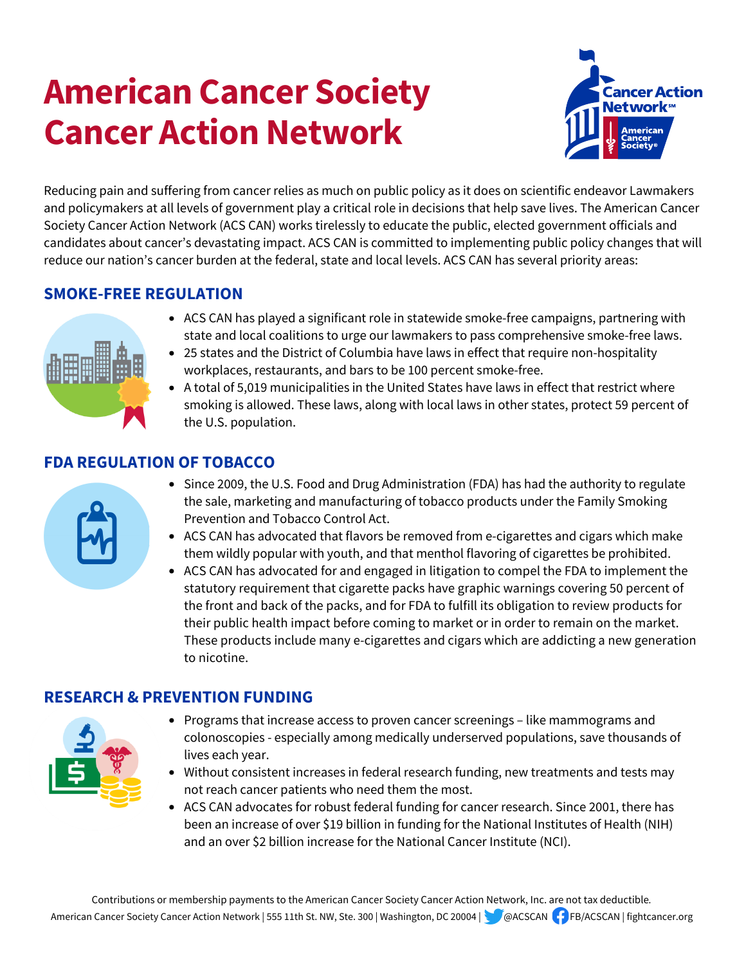# **American Cancer Society Cancer Action Network**



Reducing pain and suffering from cancer relies as much on public policy as it does on scientific endeavor Lawmakers and policymakers at all levels of government play a critical role in decisions that help save lives. The American Cancer Society Cancer Action Network (ACS CAN) works tirelessly to educate the public, elected government officials and candidates about cancer's devastating impact. ACS CAN is committed to implementing public policy changes that will reduce our nation's cancer burden at the federal, state and local levels. ACS CAN has several priority areas:

# **SMOKE-FREE REGULATION**



- ACS CAN has played a significant role in statewide smoke-free campaigns, partnering with state and local coalitions to urge our lawmakers to pass comprehensive smoke-free laws.
- 25 states and the District of Columbia have laws in effect that require non-hospitality workplaces, restaurants, and bars to be 100 percent smoke-free.
- A total of 5,019 municipalities in the United States have laws in effect that restrict where smoking is allowed. These laws, along with local laws in other states, protect 59 percent of the U.S. population.

# **FDA REGULATION OF TOBACCO**



- Since 2009, the U.S. Food and Drug Administration (FDA) has had the authority to regulate the sale, marketing and manufacturing of tobacco products under the Family Smoking Prevention and Tobacco Control Act.
- ACS CAN has advocated that flavors be removed from e-cigarettes and cigars which make them wildly popular with youth, and that menthol flavoring of cigarettes be prohibited.
- ACS CAN has advocated for and engaged in litigation to compel the FDA to implement the statutory requirement that cigarette packs have graphic warnings covering 50 percent of the front and back of the packs, and for FDA to fulfill its obligation to review products for their public health impact before coming to market or in order to remain on the market. These products include many e-cigarettes and cigars which are addicting a new generation to nicotine.

## **RESEARCH & PREVENTION FUNDING**



- Programs that increase access to proven cancer screenings like mammograms and colonoscopies - especially among medically underserved populations, save thousands of lives each year.
- Without consistent increases in federal research funding, new treatments and tests may not reach cancer patients who need them the most.
- ACS CAN advocates for robust federal funding for cancer research. Since 2001, there has been an increase of over \$19 billion in funding for the National Institutes of Health (NIH) and an over \$2 billion increase for the National Cancer Institute (NCI).